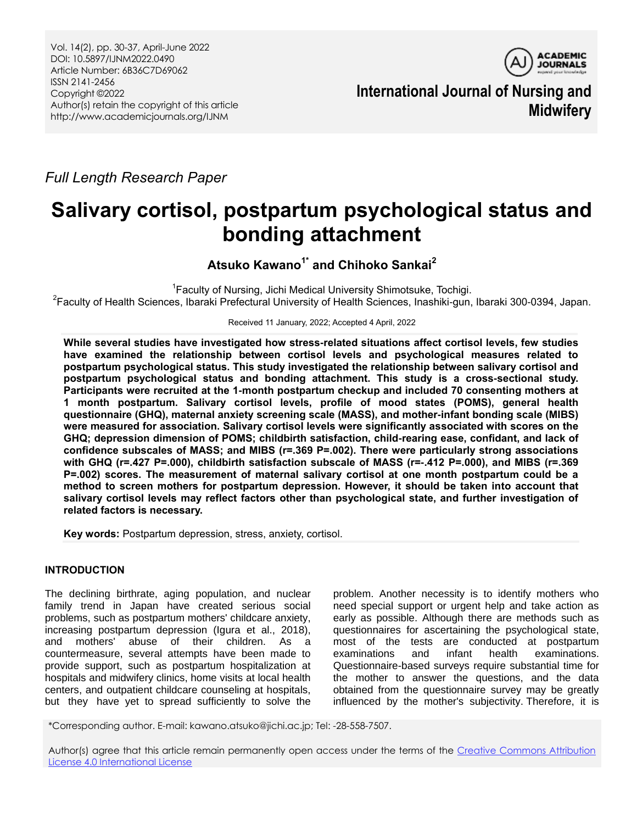Vol. 14(2), pp. 30-37, April-June 2022 DOI: 10.5897/IJNM2022.0490 Article Number: 6B36C7D69062 ISSN 2141-2456 Copyright ©2022 Author(s) retain the copyright of this article http://www.academicjournals.org/IJNM



**International Journal of Nursing and Midwifery**

*Full Length Research Paper*

# **Salivary cortisol, postpartum psychological status and bonding attachment**

**Atsuko Kawano1\* and Chihoko Sankai<sup>2</sup>**

<sup>1</sup> Faculty of Nursing, Jichi Medical University Shimotsuke, Tochigi. <sup>2</sup>Faculty of Health Sciences, Ibaraki Prefectural University of Health Sciences, Inashiki-gun, Ibaraki 300-0394, Japan.

Received 11 January, 2022; Accepted 4 April, 2022

**While several studies have investigated how stress-related situations affect cortisol levels, few studies have examined the relationship between cortisol levels and psychological measures related to postpartum psychological status. This study investigated the relationship between salivary cortisol and postpartum psychological status and bonding attachment. This study is a cross-sectional study. Participants were recruited at the 1-month postpartum checkup and included 70 consenting mothers at 1 month postpartum. Salivary cortisol levels, profile of mood states (POMS), general health questionnaire (GHQ), maternal anxiety screening scale (MASS), and mother-infant bonding scale (MIBS) were measured for association. Salivary cortisol levels were significantly associated with scores on the GHQ; depression dimension of POMS; childbirth satisfaction, child-rearing ease, confidant, and lack of confidence subscales of MASS; and MIBS (r=.369 P=.002). There were particularly strong associations with GHQ (r=.427 P=.000), childbirth satisfaction subscale of MASS (r=-.412 P=.000), and MIBS (r=.369 P=.002) scores. The measurement of maternal salivary cortisol at one month postpartum could be a method to screen mothers for postpartum depression. However, it should be taken into account that salivary cortisol levels may reflect factors other than psychological state, and further investigation of related factors is necessary.**

**Key words:** Postpartum depression, stress, anxiety, cortisol.

# **INTRODUCTION**

The declining birthrate, aging population, and nuclear family trend in Japan have created serious social problems, such as postpartum mothers' childcare anxiety, increasing postpartum depression (Igura et al., 2018), and mothers' abuse of their children. As a countermeasure, several attempts have been made to provide support, such as postpartum hospitalization at hospitals and midwifery clinics, home visits at local health centers, and outpatient childcare counseling at hospitals, but they have yet to spread sufficiently to solve the

problem. Another necessity is to identify mothers who need special support or urgent help and take action as early as possible. Although there are methods such as questionnaires for ascertaining the psychological state, most of the tests are conducted at postpartum examinations and infant health examinations. Questionnaire-based surveys require substantial time for the mother to answer the questions, and the data obtained from the questionnaire survey may be greatly influenced by the mother's subjectivity. Therefore, it is

\*Corresponding author. E-mail: kawano.atsuko@jichi.ac.jp; Tel: -28-558-7507.

Author(s) agree that this article remain permanently open access under the terms of the Creative Commons Attribution [License 4.0 International License](http://creativecommons.org/licenses/by/4.0/deed.en_US)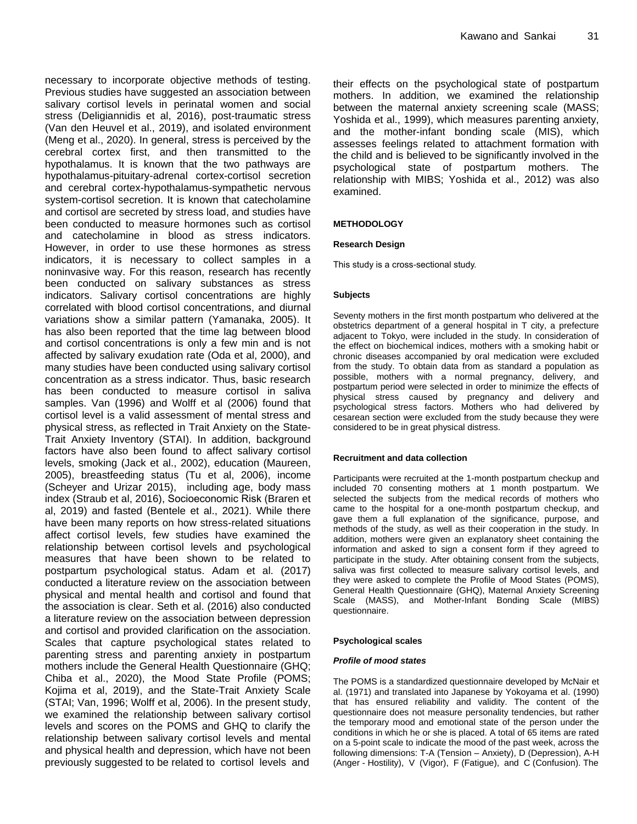necessary to incorporate objective methods of testing. Previous studies have suggested an association between salivary cortisol levels in perinatal women and social stress (Deligiannidis et al, 2016), post-traumatic stress (Van den Heuvel et al., 2019), and isolated environment (Meng et al., 2020). In general, stress is perceived by the cerebral cortex first, and then transmitted to the hypothalamus. It is known that the two pathways are hypothalamus-pituitary-adrenal cortex-cortisol secretion and cerebral cortex-hypothalamus-sympathetic nervous system-cortisol secretion. It is known that catecholamine and cortisol are secreted by stress load, and studies have been conducted to measure hormones such as cortisol and catecholamine in blood as stress indicators. However, in order to use these hormones as stress indicators, it is necessary to collect samples in a noninvasive way. For this reason, research has recently been conducted on salivary substances as stress indicators. Salivary cortisol concentrations are highly correlated with blood cortisol concentrations, and diurnal variations show a similar pattern (Yamanaka, 2005). It has also been reported that the time lag between blood and cortisol concentrations is only a few min and is not affected by salivary exudation rate (Oda et al, 2000), and many studies have been conducted using salivary cortisol concentration as a stress indicator. Thus, basic research has been conducted to measure cortisol in saliva samples. Van (1996) and Wolff et al (2006) found that cortisol level is a valid assessment of mental stress and physical stress, as reflected in Trait Anxiety on the State-Trait Anxiety Inventory (STAI). In addition, background factors have also been found to affect salivary cortisol levels, smoking (Jack et al., 2002), education (Maureen, 2005), breastfeeding status (Tu et al, 2006), income (Scheyer and Urizar 2015), including age, body mass index (Straub et al, 2016), Socioeconomic Risk (Braren et al, 2019) and fasted (Bentele et al., 2021). While there have been many reports on how stress-related situations affect cortisol levels, few studies have examined the relationship between cortisol levels and psychological measures that have been shown to be related to postpartum psychological status. Adam et al. (2017) conducted a literature review on the association between physical and mental health and cortisol and found that the association is clear. Seth et al. (2016) also conducted a literature review on the association between depression and cortisol and provided clarification on the association. Scales that capture psychological states related to parenting stress and parenting anxiety in postpartum mothers include the General Health Questionnaire (GHQ; Chiba et al., 2020), the Mood State Profile (POMS; Kojima et al, 2019), and the State-Trait Anxiety Scale (STAI; Van, 1996; Wolff et al, 2006). In the present study, we examined the relationship between salivary cortisol levels and scores on the POMS and GHQ to clarify the relationship between salivary cortisol levels and mental and physical health and depression, which have not been previously suggested to be related to cortisol levels and

their effects on the psychological state of postpartum mothers. In addition, we examined the relationship between the maternal anxiety screening scale (MASS; Yoshida et al., 1999), which measures parenting anxiety, and the mother-infant bonding scale (MIS), which assesses feelings related to attachment formation with the child and is believed to be significantly involved in the psychological state of postpartum mothers. The relationship with MIBS; Yoshida et al., 2012) was also examined.

## **METHODOLOGY**

## **Research Design**

This study is a cross-sectional study.

### **Subjects**

Seventy mothers in the first month postpartum who delivered at the obstetrics department of a general hospital in T city, a prefecture adjacent to Tokyo, were included in the study. In consideration of the effect on biochemical indices, mothers with a smoking habit or chronic diseases accompanied by oral medication were excluded from the study. To obtain data from as standard a population as possible, mothers with a normal pregnancy, delivery, and postpartum period were selected in order to minimize the effects of physical stress caused by pregnancy and delivery and psychological stress factors. Mothers who had delivered by cesarean section were excluded from the study because they were considered to be in great physical distress.

#### **Recruitment and data collection**

Participants were recruited at the 1-month postpartum checkup and included 70 consenting mothers at 1 month postpartum. We selected the subjects from the medical records of mothers who came to the hospital for a one-month postpartum checkup, and gave them a full explanation of the significance, purpose, and methods of the study, as well as their cooperation in the study. In addition, mothers were given an explanatory sheet containing the information and asked to sign a consent form if they agreed to participate in the study. After obtaining consent from the subjects, saliva was first collected to measure salivary cortisol levels, and they were asked to complete the Profile of Mood States (POMS), General Health Questionnaire (GHQ), Maternal Anxiety Screening Scale (MASS), and Mother-Infant Bonding Scale (MIBS) questionnaire.

### **Psychological scales**

#### *Profile of mood states*

The POMS is a standardized questionnaire developed by McNair et al. (1971) and translated into Japanese by Yokoyama et al. (1990) that has ensured reliability and validity. The content of the questionnaire does not measure personality tendencies, but rather the temporary mood and emotional state of the person under the conditions in which he or she is placed. A total of 65 items are rated on a 5-point scale to indicate the mood of the past week, across the following dimensions: T-A (Tension – Anxiety), D (Depression), A-H (Anger - Hostility), V (Vigor), F (Fatigue), and C (Confusion). The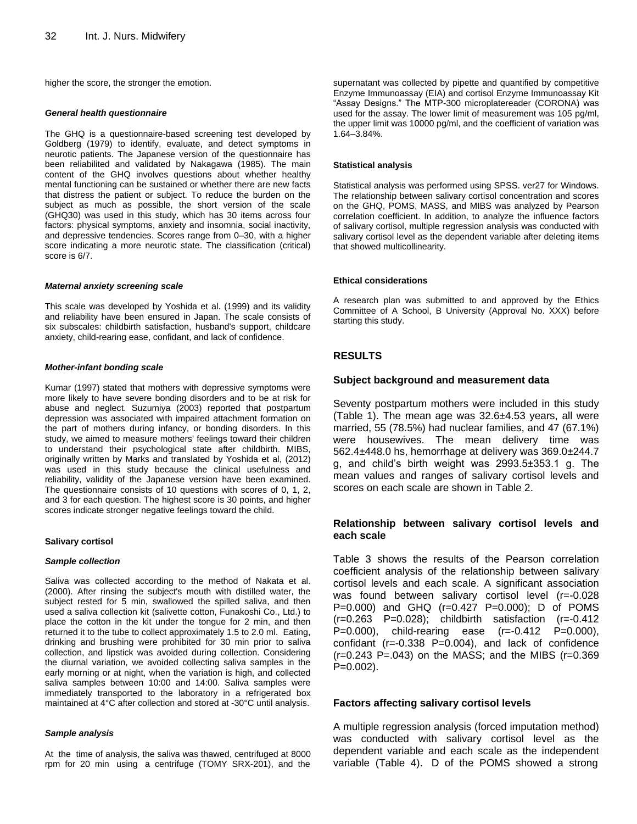higher the score, the stronger the emotion.

#### *General health questionnaire*

The GHQ is a questionnaire-based screening test developed by Goldberg (1979) to identify, evaluate, and detect symptoms in neurotic patients. The Japanese version of the questionnaire has been reliabilited and validated by Nakagawa (1985). The main content of the GHQ involves questions about whether healthy mental functioning can be sustained or whether there are new facts that distress the patient or subject. To reduce the burden on the subject as much as possible, the short version of the scale (GHQ30) was used in this study, which has 30 items across four factors: physical symptoms, anxiety and insomnia, social inactivity, and depressive tendencies. Scores range from 0–30, with a higher score indicating a more neurotic state. The classification (critical) score is 6/7.

### *Maternal anxiety screening scale*

This scale was developed by Yoshida et al. (1999) and its validity and reliability have been ensured in Japan. The scale consists of six subscales: childbirth satisfaction, husband's support, childcare anxiety, child-rearing ease, confidant, and lack of confidence.

## *Mother-infant bonding scale*

Kumar (1997) stated that mothers with depressive symptoms were more likely to have severe bonding disorders and to be at risk for abuse and neglect. Suzumiya (2003) reported that postpartum depression was associated with impaired attachment formation on the part of mothers during infancy, or bonding disorders. In this study, we aimed to measure mothers' feelings toward their children to understand their psychological state after childbirth. MIBS, originally written by Marks and translated by Yoshida et al, (2012) was used in this study because the clinical usefulness and reliability, validity of the Japanese version have been examined. The questionnaire consists of 10 questions with scores of 0, 1, 2, and 3 for each question. The highest score is 30 points, and higher scores indicate stronger negative feelings toward the child.

## **Salivary cortisol**

#### *Sample collection*

Saliva was collected according to the method of Nakata et al. (2000). After rinsing the subject's mouth with distilled water, the subject rested for 5 min, swallowed the spilled saliva, and then used a saliva collection kit (salivette cotton, Funakoshi Co., Ltd.) to place the cotton in the kit under the tongue for 2 min, and then returned it to the tube to collect approximately 1.5 to 2.0 ml. Eating, drinking and brushing were prohibited for 30 min prior to saliva collection, and lipstick was avoided during collection. Considering the diurnal variation, we avoided collecting saliva samples in the early morning or at night, when the variation is high, and collected saliva samples between 10:00 and 14:00. Saliva samples were immediately transported to the laboratory in a refrigerated box maintained at 4°C after collection and stored at -30°C until analysis.

#### *Sample analysis*

At the time of analysis, the saliva was thawed, centrifuged at 8000 rpm for 20 min using a centrifuge (TOMY SRX-201), and the supernatant was collected by pipette and quantified by competitive Enzyme Immunoassay (EIA) and cortisol Enzyme Immunoassay Kit "Assay Designs." The MTP-300 microplatereader (CORONA) was used for the assay. The lower limit of measurement was 105 pg/ml, the upper limit was 10000 pg/ml, and the coefficient of variation was 1.64–3.84%.

### **Statistical analysis**

Statistical analysis was performed using SPSS. ver27 for Windows. The relationship between salivary cortisol concentration and scores on the GHQ, POMS, MASS, and MIBS was analyzed by Pearson correlation coefficient. In addition, to analyze the influence factors of salivary cortisol, multiple regression analysis was conducted with salivary cortisol level as the dependent variable after deleting items that showed multicollinearity.

## **Ethical considerations**

A research plan was submitted to and approved by the Ethics Committee of A School, B University (Approval No. XXX) before starting this study.

## **RESULTS**

## **Subject background and measurement data**

Seventy postpartum mothers were included in this study (Table 1). The mean age was 32.6±4.53 years, all were married, 55 (78.5%) had nuclear families, and 47 (67.1%) were housewives. The mean delivery time was 562.4±448.0 hs, hemorrhage at delivery was 369.0±244.7 g, and child's birth weight was 2993.5±353.1 g. The mean values and ranges of salivary cortisol levels and scores on each scale are shown in Table 2.

## **Relationship between salivary cortisol levels and each scale**

Table 3 shows the results of the Pearson correlation coefficient analysis of the relationship between salivary cortisol levels and each scale. A significant association was found between salivary cortisol level (r=-0.028 P=0.000) and GHQ (r=0.427 P=0.000); D of POMS  $(r=0.263 \quad P=0.028)$ ; childbirth satisfaction  $(r=-0.412)$ P=0.000), child-rearing ease (r=-0.412 P=0.000), confidant (r=-0.338 P=0.004), and lack of confidence (r=0.243 P=.043) on the MASS; and the MIBS (r=0.369 P=0.002).

## **Factors affecting salivary cortisol levels**

A multiple regression analysis (forced imputation method) was conducted with salivary cortisol level as the dependent variable and each scale as the independent variable (Table 4). D of the POMS showed a strong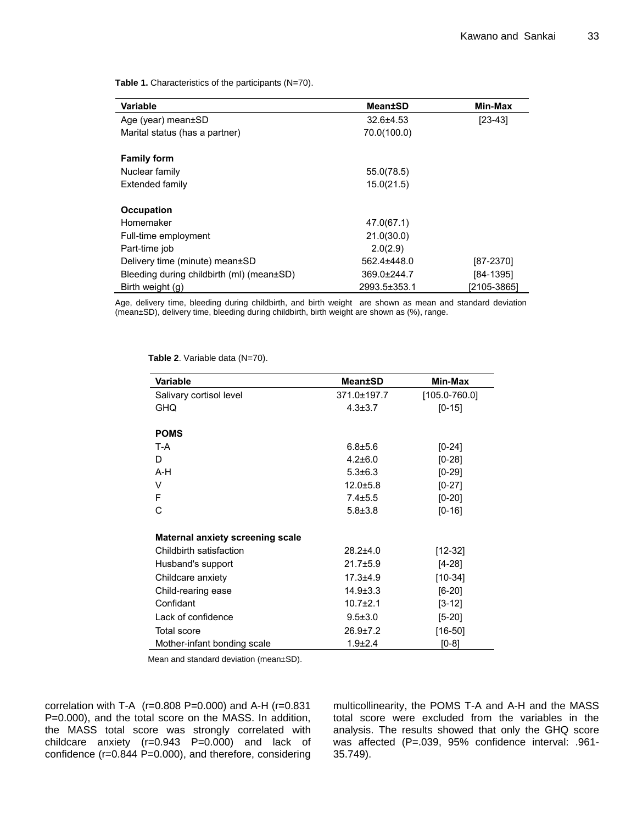Table 1. Characteristics of the participants (N=70).

| Variable                                  | Mean±SD       | Min-Max     |
|-------------------------------------------|---------------|-------------|
| Age (year) mean±SD                        | $32.6 + 4.53$ | $[23-43]$   |
| Marital status (has a partner)            | 70.0(100.0)   |             |
| <b>Family form</b>                        |               |             |
| Nuclear family                            | 55.0(78.5)    |             |
| Extended family                           | 15.0(21.5)    |             |
|                                           |               |             |
| <b>Occupation</b>                         |               |             |
| Homemaker                                 | 47.0(67.1)    |             |
| Full-time employment                      | 21.0(30.0)    |             |
| Part-time job                             | 2.0(2.9)      |             |
| Delivery time (minute) mean±SD            | 562.4±448.0   | [87-2370]   |
| Bleeding during childbirth (ml) (mean±SD) | 369.0±244.7   | [84-1395]   |
| Birth weight (g)                          | 2993.5±353.1  | [2105-3865] |

Age, delivery time, bleeding during childbirth, and birth weight are shown as mean and standard deviation (mean±SD), delivery time, bleeding during childbirth, birth weight are shown as (%), range.

| Variable                                | <b>Mean±SD</b> | Min-Max           |
|-----------------------------------------|----------------|-------------------|
| Salivary cortisol level                 | 371.0±197.7    | $[105.0 - 760.0]$ |
| <b>GHQ</b>                              | $4.3 \pm 3.7$  | $[0-15]$          |
|                                         |                |                   |
| <b>POMS</b>                             |                |                   |
| T-A                                     | $6.8 + 5.6$    | $[0-24]$          |
| D                                       | $4.2 \pm 6.0$  | $[0-28]$          |
| A-H                                     | $5.3 \pm 6.3$  | $[0-29]$          |
| V                                       | $12.0 + 5.8$   | $[0-27]$          |
| F                                       | $7.4 \pm 5.5$  | $[0-20]$          |
| С                                       | $5.8 \pm 3.8$  | $[0-16]$          |
|                                         |                |                   |
| <b>Maternal anxiety screening scale</b> |                |                   |
| Childbirth satisfaction                 | $28.2{\pm}4.0$ | [12-32]           |
| Husband's support                       | $21.7 + 5.9$   | [4-28]            |
| Childcare anxiety                       | $17.3 + 4.9$   | $[10-34]$         |
| Child-rearing ease                      | $14.9 \pm 3.3$ | $[6-20]$          |
| Confidant                               | $10.7 + 2.1$   | $[3-12]$          |
| Lack of confidence                      | $9.5 \pm 3.0$  | [5-20]            |
| <b>Total score</b>                      | $26.9 \pm 7.2$ | $[16 - 50]$       |
| Mother-infant bonding scale             | $1.9 \pm 2.4$  | $[0-8]$           |

**Table 2**. Variable data (N=70).

Mean and standard deviation (mean±SD).

correlation with T-A  $(r=0.808 \text{ P}=0.000)$  and A-H  $(r=0.831$ P=0.000), and the total score on the MASS. In addition, the MASS total score was strongly correlated with childcare anxiety (r=0.943 P=0.000) and lack of confidence (r=0.844 P=0.000), and therefore, considering multicollinearity, the POMS T-A and A-H and the MASS total score were excluded from the variables in the analysis. The results showed that only the GHQ score was affected (P=.039, 95% confidence interval: .961- 35.749).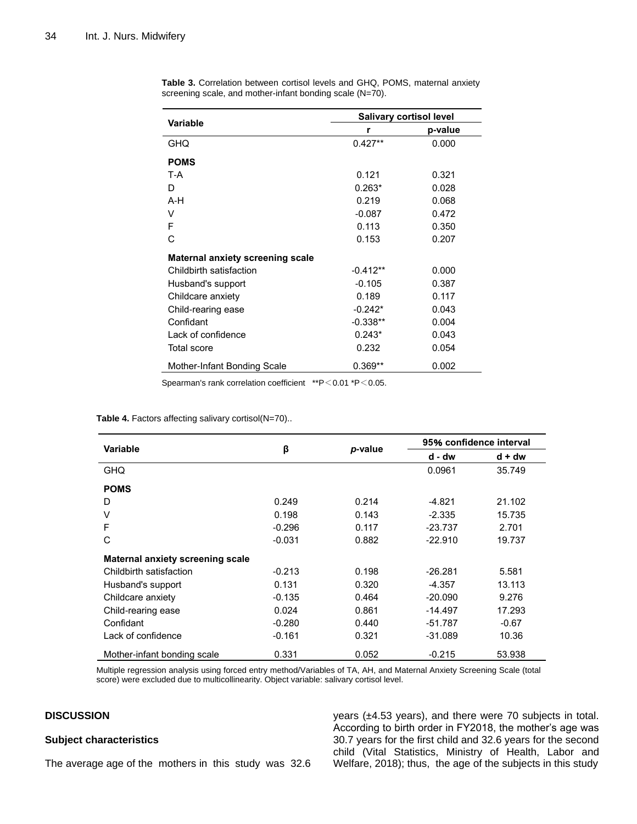| <b>Variable</b>                  | <b>Salivary cortisol level</b> |         |  |
|----------------------------------|--------------------------------|---------|--|
|                                  | r                              | p-value |  |
| <b>GHQ</b>                       | $0.427**$                      | 0.000   |  |
| <b>POMS</b>                      |                                |         |  |
| T-A                              | 0.121                          | 0.321   |  |
| D                                | $0.263*$                       | 0.028   |  |
| $A-H$                            | 0.219                          | 0.068   |  |
| v                                | $-0.087$                       | 0.472   |  |
| F                                | 0.113                          | 0.350   |  |
| C                                | 0.153                          | 0.207   |  |
| Maternal anxiety screening scale |                                |         |  |
| Childbirth satisfaction          | -0.412**                       | 0.000   |  |
| Husband's support                | $-0.105$                       | 0.387   |  |
| Childcare anxiety                | 0.189                          | 0.117   |  |
| Child-rearing ease               | $-0.242*$                      | 0.043   |  |
| Confidant                        | $-0.338**$                     | 0.004   |  |
| Lack of confidence               | $0.243*$                       | 0.043   |  |
| <b>Total score</b>               | 0.232                          | 0.054   |  |
| Mother-Infant Bonding Scale      | $0.369**$                      | 0.002   |  |

**Table 3.** Correlation between cortisol levels and GHQ, POMS, maternal anxiety screening scale, and mother-infant bonding scale (N=70).

Spearman's rank correlation coefficient \*\*P<0.01 \*P<0.05.

| Table 4. Factors affecting salivary cortisol(N=70) |  |  |  |  |  |  |
|----------------------------------------------------|--|--|--|--|--|--|
|----------------------------------------------------|--|--|--|--|--|--|

| Variable                                | β        | p-value | 95% confidence interval |          |
|-----------------------------------------|----------|---------|-------------------------|----------|
|                                         |          |         | d - dw                  | $d + dw$ |
| <b>GHQ</b>                              |          |         | 0.0961                  | 35.749   |
| <b>POMS</b>                             |          |         |                         |          |
| D                                       | 0.249    | 0.214   | -4.821                  | 21.102   |
| V                                       | 0.198    | 0.143   | $-2.335$                | 15.735   |
| F                                       | $-0.296$ | 0.117   | $-23.737$               | 2.701    |
| С                                       | $-0.031$ | 0.882   | $-22.910$               | 19.737   |
| <b>Maternal anxiety screening scale</b> |          |         |                         |          |
| Childbirth satisfaction                 | $-0.213$ | 0.198   | $-26.281$               | 5.581    |
| Husband's support                       | 0.131    | 0.320   | $-4.357$                | 13.113   |
| Childcare anxiety                       | $-0.135$ | 0.464   | $-20.090$               | 9.276    |
| Child-rearing ease                      | 0.024    | 0.861   | $-14.497$               | 17.293   |
| Confidant                               | $-0.280$ | 0.440   | $-51.787$               | $-0.67$  |
| Lack of confidence                      | $-0.161$ | 0.321   | $-31.089$               | 10.36    |
| Mother-infant bonding scale             | 0.331    | 0.052   | $-0.215$                | 53.938   |

Multiple regression analysis using forced entry method/Variables of TA, AH, and Maternal Anxiety Screening Scale (total score) were excluded due to multicollinearity. Object variable: salivary cortisol level.

# **DISCUSSION**

## **Subject characteristics**

The average age of the mothers in this study was 32.6

years (±4.53 years), and there were 70 subjects in total. According to birth order in FY2018, the mother's age was 30.7 years for the first child and 32.6 years for the second child (Vital Statistics, Ministry of Health, Labor and Welfare, 2018); thus, the age of the subjects in this study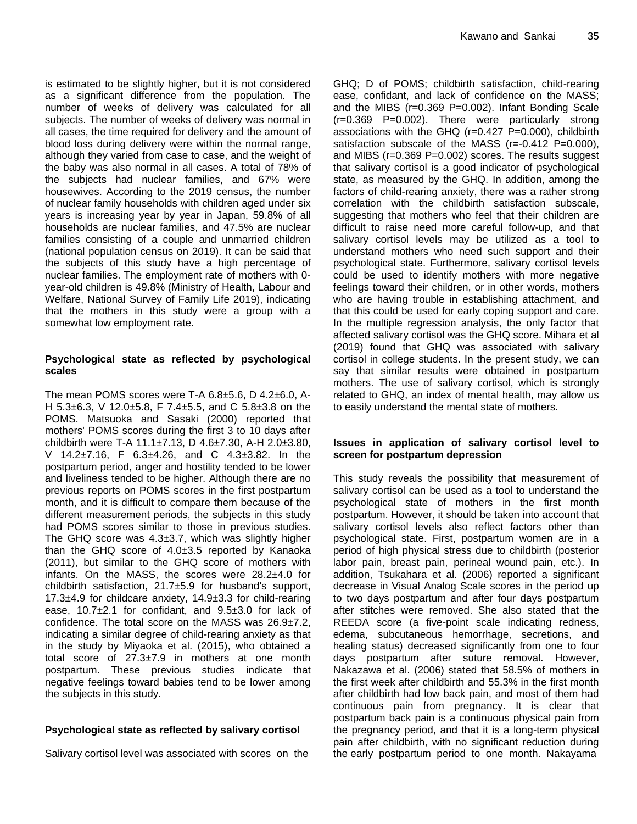is estimated to be slightly higher, but it is not considered as a significant difference from the population. The number of weeks of delivery was calculated for all subjects. The number of weeks of delivery was normal in all cases, the time required for delivery and the amount of blood loss during delivery were within the normal range, although they varied from case to case, and the weight of the baby was also normal in all cases. A total of 78% of the subjects had nuclear families, and 67% were housewives. According to the 2019 census, the number of nuclear family households with children aged under six years is increasing year by year in Japan, 59.8% of all households are nuclear families, and 47.5% are nuclear families consisting of a couple and unmarried children (national population census on 2019). It can be said that the subjects of this study have a high percentage of nuclear families. The employment rate of mothers with 0 year-old children is 49.8% (Ministry of Health, Labour and Welfare, National Survey of Family Life 2019), indicating that the mothers in this study were a group with a somewhat low employment rate.

# **Psychological state as reflected by psychological scales**

The mean POMS scores were T-A  $6.8\pm5.6$ , D  $4.2\pm6.0$ , A-H 5.3±6.3, V 12.0±5.8, F 7.4±5.5, and C 5.8±3.8 on the POMS. Matsuoka and Sasaki (2000) reported that mothers' POMS scores during the first 3 to 10 days after childbirth were T-A 11.1±7.13, D 4.6±7.30, A-H 2.0±3.80, V 14.2±7.16, F 6.3±4.26, and C 4.3±3.82. In the postpartum period, anger and hostility tended to be lower and liveliness tended to be higher. Although there are no previous reports on POMS scores in the first postpartum month, and it is difficult to compare them because of the different measurement periods, the subjects in this study had POMS scores similar to those in previous studies. The GHQ score was  $4.3\pm3.7$ , which was slightly higher than the GHQ score of  $4.0\pm3.5$  reported by Kanaoka (2011), but similar to the GHQ score of mothers with infants. On the MASS, the scores were 28.2±4.0 for childbirth satisfaction, 21.7±5.9 for husband's support, 17.3±4.9 for childcare anxiety, 14.9±3.3 for child-rearing ease,  $10.7\pm2.1$  for confidant, and  $9.5\pm3.0$  for lack of confidence. The total score on the MASS was 26.9±7.2, indicating a similar degree of child-rearing anxiety as that in the study by Miyaoka et al. (2015), who obtained a total score of 27.3±7.9 in mothers at one month postpartum. These previous studies indicate that negative feelings toward babies tend to be lower among the subjects in this study.

# **Psychological state as reflected by salivary cortisol**

Salivary cortisol level was associated with scores on the

GHQ; D of POMS; childbirth satisfaction, child-rearing ease, confidant, and lack of confidence on the MASS; and the MIBS (r=0.369 P=0.002). Infant Bonding Scale (r=0.369 P=0.002). There were particularly strong associations with the GHQ (r=0.427 P=0.000), childbirth satisfaction subscale of the MASS (r=-0.412 P=0.000), and MIBS (r=0.369 P=0.002) scores. The results suggest that salivary cortisol is a good indicator of psychological state, as measured by the GHQ. In addition, among the factors of child-rearing anxiety, there was a rather strong correlation with the childbirth satisfaction subscale, suggesting that mothers who feel that their children are difficult to raise need more careful follow-up, and that salivary cortisol levels may be utilized as a tool to understand mothers who need such support and their psychological state. Furthermore, salivary cortisol levels could be used to identify mothers with more negative feelings toward their children, or in other words, mothers who are having trouble in establishing attachment, and that this could be used for early coping support and care. In the multiple regression analysis, the only factor that affected salivary cortisol was the GHQ score. Mihara et al (2019) found that GHQ was associated with salivary cortisol in college students. In the present study, we can say that similar results were obtained in postpartum mothers. The use of salivary cortisol, which is strongly related to GHQ, an index of mental health, may allow us to easily understand the mental state of mothers.

## **Issues in application of salivary cortisol level to screen for postpartum depression**

This study reveals the possibility that measurement of salivary cortisol can be used as a tool to understand the psychological state of mothers in the first month postpartum. However, it should be taken into account that salivary cortisol levels also reflect factors other than psychological state. First, postpartum women are in a period of high physical stress due to childbirth (posterior labor pain, breast pain, perineal wound pain, etc.). In addition, Tsukahara et al. (2006) reported a significant decrease in Visual Analog Scale scores in the period up to two days postpartum and after four days postpartum after stitches were removed. She also stated that the REEDA score (a five-point scale indicating redness, edema, subcutaneous hemorrhage, secretions, and healing status) decreased significantly from one to four days postpartum after suture removal. However, Nakazawa et al. (2006) stated that 58.5% of mothers in the first week after childbirth and 55.3% in the first month after childbirth had low back pain, and most of them had continuous pain from pregnancy. It is clear that postpartum back pain is a continuous physical pain from the pregnancy period, and that it is a long-term physical pain after childbirth, with no significant reduction during the early postpartum period to one month. Nakayama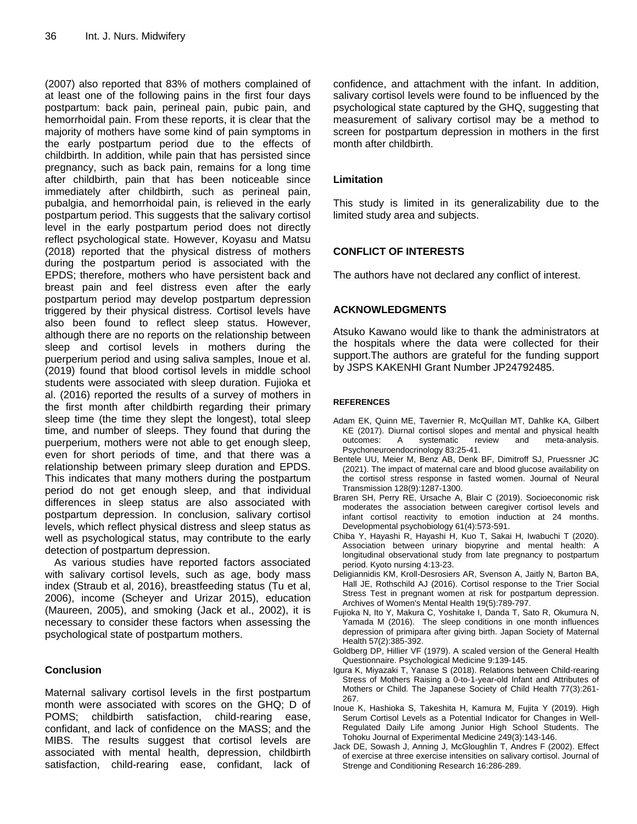(2007) also reported that 83% of mothers complained of at least one of the following pains in the first four days postpartum: back pain, perineal pain, pubic pain, and hemorrhoidal pain. From these reports, it is clear that the majority of mothers have some kind of pain symptoms in the early postpartum period due to the effects of childbirth. In addition, while pain that has persisted since pregnancy, such as back pain, remains for a long time after childbirth, pain that has been noticeable since immediately after childbirth, such as perineal pain, pubalgia, and hemorrhoidal pain, is relieved in the early postpartum period. This suggests that the salivary cortisol level in the early postpartum period does not directly reflect psychological state. However, Koyasu and Matsu (2018) reported that the physical distress of mothers during the postpartum period is associated with the EPDS; therefore, mothers who have persistent back and breast pain and feel distress even after the early postpartum period may develop postpartum depression triggered by their physical distress. Cortisol levels have also been found to reflect sleep status. However, although there are no reports on the relationship between sleep and cortisol levels in mothers during the puerperium period and using saliva samples, Inoue et al. (2019) found that blood cortisol levels in middle school students were associated with sleep duration. Fujioka et al. (2016) reported the results of a survey of mothers in the first month after childbirth regarding their primary sleep time (the time they slept the longest), total sleep time, and number of sleeps. They found that during the puerperium, mothers were not able to get enough sleep, even for short periods of time, and that there was a relationship between primary sleep duration and EPDS. This indicates that many mothers during the postpartum period do not get enough sleep, and that individual differences in sleep status are also associated with postpartum depression. In conclusion, salivary cortisol levels, which reflect physical distress and sleep status as well as psychological status, may contribute to the early detection of postpartum depression.

As various studies have reported factors associated with salivary cortisol levels, such as age, body mass index (Straub et al, 2016), breastfeeding status (Tu et al, 2006), income (Scheyer and Urizar 2015), education (Maureen, 2005), and smoking (Jack et al., 2002), it is necessary to consider these factors when assessing the psychological state of postpartum mothers.

# **Conclusion**

Maternal salivary cortisol levels in the first postpartum month were associated with scores on the GHQ; D of POMS; childbirth satisfaction, child-rearing ease, confidant, and lack of confidence on the MASS; and the MIBS. The results suggest that cortisol levels are associated with mental health, depression, childbirth satisfaction, child-rearing ease, confidant, lack of confidence, and attachment with the infant. In addition, salivary cortisol levels were found to be influenced by the psychological state captured by the GHQ, suggesting that measurement of salivary cortisol may be a method to screen for postpartum depression in mothers in the first month after childbirth.

# **Limitation**

This study is limited in its generalizability due to the limited study area and subjects.

# **CONFLICT OF INTERESTS**

The authors have not declared any conflict of interest.

# **ACKNOWLEDGMENTS**

Atsuko Kawano would like to thank the administrators at the hospitals where the data were collected for their support.The authors are grateful for the funding support by JSPS KAKENHI Grant Number JP24792485.

## **REFERENCES**

- Adam EK, Quinn ME, Tavernier R, McQuillan MT, Dahlke KA, Gilbert KE (2017). Diurnal cortisol slopes and mental and physical health outcomes: A systematic review and meta-analysis. Psychoneuroendocrinology 83:25-41.
- Bentele UU, Meier M, Benz AB, Denk BF, Dimitroff SJ, Pruessner JC (2021). The impact of maternal care and blood glucose availability on the cortisol stress response in fasted women. Journal of Neural Transmission 128(9):1287-1300.
- Braren SH, Perry RE, Ursache A, Blair C (2019). Socioeconomic risk moderates the association between caregiver cortisol levels and infant cortisol reactivity to emotion induction at 24 months. Developmental psychobiology 61(4):573-591.
- Chiba Y, Hayashi R, Hayashi H, Kuo T, Sakai H, Iwabuchi T (2020). Association between urinary biopyrine and mental health: A longitudinal observational study from late pregnancy to postpartum period. Kyoto nursing 4:13-23.
- Deligiannidis KM, Kroll-Desrosiers AR, Svenson A, Jaitly N, Barton BA, Hall JE, Rothschild AJ (2016). Cortisol response to the Trier Social Stress Test in pregnant women at risk for postpartum depression. Archives of Women's Mental Health 19(5):789-797.
- Fujioka N, Ito Y, Makura C, Yoshitake I, Danda T, Sato R, Okumura N, Yamada M (2016). The sleep conditions in one month influences depression of primipara after giving birth. Japan Society of Maternal Health 57(2):385-392.
- Goldberg DP, Hillier VF (1979). A scaled version of the General Health Questionnaire. Psychological Medicine 9:139-145.
- Igura K, Miyazaki T, Yanase S (2018). Relations between Child-rearing Stress of Mothers Raising a 0-to-1-year-old Infant and Attributes of Mothers or Child. The Japanese Society of Child Health 77(3):261- 267.
- Inoue K, Hashioka S, Takeshita H, Kamura M, Fujita Y (2019). High Serum Cortisol Levels as a Potential Indicator for Changes in Well-Regulated Daily Life among Junior High School Students. The Tohoku Journal of Experimental Medicine 249(3):143-146.
- Jack DE, Sowash J, Anning J, McGloughlin T, Andres F (2002). Effect of exercise at three exercise intensities on salivary cortisol. Journal of Strenge and Conditioning Research 16:286-289.